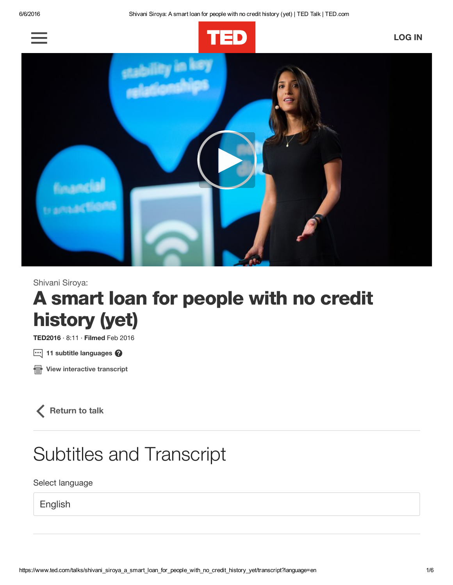



Shivani Siroya:

# A smart loan for people with no credit history (yet)

TED2016 · 8:11 · Filmed Feb 2016

 $\boxdot$  11 subtitle languages  $\bm{Q}$ 

**B** View [interactive](https://www.ted.com/talks/shivani_siroya_a_smart_loan_for_people_with_no_credit_history_yet/transcript?language=en) transcript

 $\langle$  [Return](https://www.ted.com/talks/shivani_siroya_a_smart_loan_for_people_with_no_credit_history_yet?language=en) to talk

# Subtitles and Transcript

Select language

English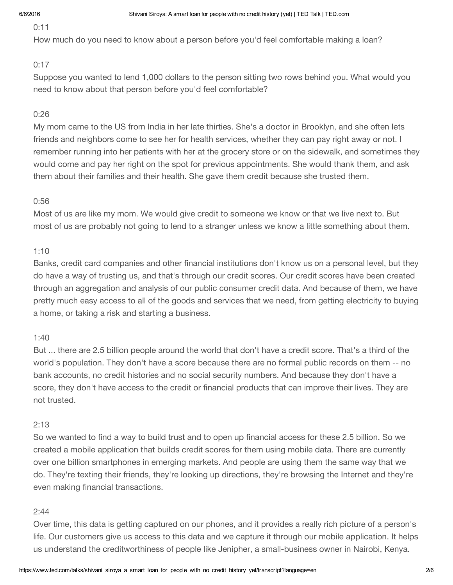#### 0:11

How much do you need to know about a person before you'd feel comfortable making a loan?

#### 0:17

Suppose you wanted to lend 1,000 dollars to the person sitting two rows behind you. What would you need to know about that person before you'd feel comfortable?

#### 0:26

My mom came to the US from India in her late thirties. She's a doctor in Brooklyn, and she often lets friends and neighbors come to see her for health services, whether they can pay right away or not. I remember running into her patients with her at the grocery store or on the sidewalk, and sometimes they would come and pay her right on the spot for previous appointments. She would thank them, and ask them about their families and their health. She gave them credit because she trusted them.

#### 0:56

Most of us are like my mom. We would give credit to someone we know or that we live next to. But most of us are probably not going to lend to a stranger unless we know a little something about them.

#### 1:10

Banks, credit card companies and other financial institutions don't know us on a personal level, but they do have a way of trusting us, and that's through our credit scores. Our credit scores have been created through an aggregation and analysis of our public consumer credit data. And because of them, we have pretty much easy access to all of the goods and services that we need, from getting electricity to buying a home, or taking a risk and starting a business.

#### 1:40

But ... there are 2.5 billion people around the world that don't have a credit score. That's a third of the world's population. They don't have a score because there are no formal public records on them -- no bank accounts, no credit histories and no social security numbers. And because they don't have a score, they don't have access to the credit or financial products that can improve their lives. They are not trusted.

#### 2:13

So we wanted to find a way to build trust and to open up financial access for these 2.5 billion. So we created a mobile application that builds credit scores for them using mobile data. There are currently over one billion smartphones in emerging markets. And people are using them the same way that we do. They're texting their friends, they're looking up directions, they're browsing the Internet and they're even making financial transactions.

#### 2:44

Over time, this data is getting captured on our phones, and it provides a really rich picture of a person's life. Our customers give us access to this data and we capture it through our mobile application. It helps us understand the creditworthiness of people like Jenipher, a small-business owner in Nairobi, Kenya.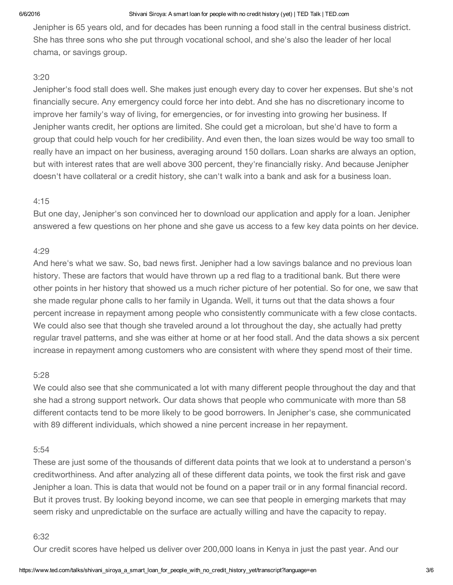#### 6/6/2016 Shivani Siroya: A smart loan for people with no credit history (yet) | TED Talk | TED.com

Jenipher is 65 years old, and for decades has been running a food stall in the central business district. She has three sons who she put through vocational school, and she's also the leader of her local chama, or savings group.

### 3:20

Jenipher's food stall does well. She makes just enough every day to cover her expenses. But she's not financially secure. Any emergency could force her into debt. And she has no discretionary income to improve her family's way of living, for emergencies, or for investing into growing her business. If Jenipher wants credit, her options are limited. She could get a microloan, but she'd have to form a group that could help vouch for her credibility. And even then, the loan sizes would be way too small to really have an impact on her business, averaging around 150 dollars. Loan sharks are always an option, but with interest rates that are well above 300 percent, they're financially risky. And because Jenipher doesn't have collateral or a credit history, she can't walk into a bank and ask for a business loan.

### 4:15

But one day, Jenipher's son convinced her to download our application and apply for a loan. Jenipher answered a few questions on her phone and she gave us access to a few key data points on her device.

### 4:29

And here's what we saw. So, bad news first. Jenipher had a low savings balance and no previous loan history. These are factors that would have thrown up a red flag to a traditional bank. But there were other points in her history that showed us a much richer picture of her potential. So for one, we saw that she made regular phone calls to her family in Uganda. Well, it turns out that the data shows a four percent increase in repayment among people who consistently communicate with a few close contacts. We could also see that though she traveled around a lot throughout the day, she actually had pretty regular travel patterns, and she was either at home or at her food stall. And the data shows a six percent increase in repayment among customers who are consistent with where they spend most of their time.

# 5:28

We could also see that she communicated a lot with many different people throughout the day and that she had a strong support network. Our data shows that people who communicate with more than 58 different contacts tend to be more likely to be good borrowers. In Jenipher's case, she communicated with 89 different individuals, which showed a nine percent increase in her repayment.

#### 5:54

These are just some of the thousands of different data points that we look at to understand a person's creditworthiness. And after analyzing all of these different data points, we took the first risk and gave Jenipher a loan. This is data that would not be found on a paper trail or in any formal financial record. But it proves trust. By looking beyond income, we can see that people in emerging markets that may seem risky and unpredictable on the surface are actually willing and have the capacity to repay.

#### 6:32

Our credit scores have helped us deliver over 200,000 loans in Kenya in just the past year. And our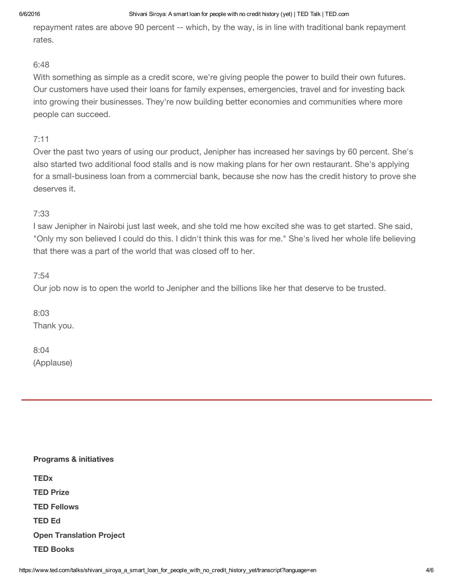#### 6/6/2016 Shivani Siroya: A smart loan for people with no credit history (yet) | TED Talk | TED.com

repayment rates are above 90 percent -- which, by the way, is in line with traditional bank repayment rates.

#### 6:48

With something as simple as a credit score, we're giving people the power to build their own futures. Our customers have used their loans for family expenses, emergencies, travel and for investing back into growing their businesses. They're now building better economies and communities where more people can succeed.

## 7:11

Over the past two years of using our product, Jenipher has increased her savings by 60 percent. She's also started two additional food stalls and is now making plans for her own restaurant. She's applying for a small-business loan from a commercial bank, because she now has the credit history to prove she deserves it.

# 7:33

I saw Jenipher in Nairobi just last week, and she told me how excited she was to get started. She said, "Only my son believed I could do this. I didn't think this was for me." She's lived her whole life believing that there was a part of the world that was closed off to her.

### 7:54

Our job now is to open the world to Jenipher and the billions like her that deserve to be trusted.

8:03 Thank you.

8:04 (Applause)

| <b>Programs &amp; initiatives</b> |
|-----------------------------------|
| <b>TEDx</b>                       |
| <b>TED Prize</b>                  |
| <b>TED Fellows</b>                |
| <b>TED Ed</b>                     |
| <b>Open Translation Project</b>   |
| <b>TED Books</b>                  |
|                                   |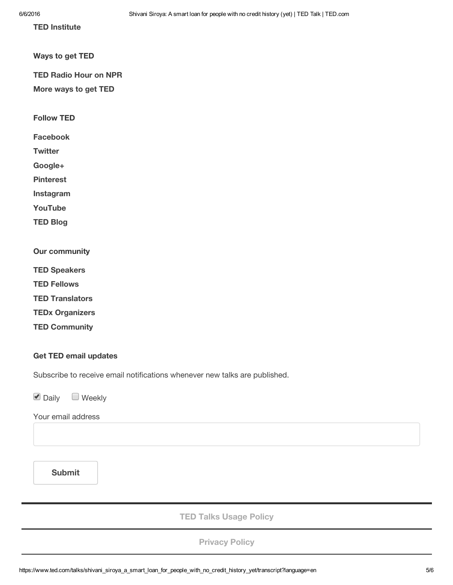TED [Institute](https://www.ted.com/about/programs-initiatives/ted-institute)

Ways to get TED

TED [Radio](https://www.npr.org/programs/ted-radio-hour/) Hour on NPR

[More](https://www.ted.com/about/programs-initiatives/ted-talks/ways-to-get-ted-talks) ways to get TED

Follow TED

[Facebook](https://www.facebook.com/TED)

**[Twitter](https://twitter.com/tedtalks)** 

[Google+](https://plus.google.com/+TED)

[Pinterest](https://www.pinterest.com/tednews)

[Instagram](https://instagram.com/ted)

[YouTube](https://www.youtube.com/ted)

TED [Blog](http://blog.ted.com/)

Our community

TED [Speakers](https://www.ted.com/people/speakers)

TED [Fellows](https://www.ted.com/people/fellows)

TED [Translators](https://www.ted.com/people/translators)

TEDx [Organizers](https://www.ted.com/people/tedx)

TED [Community](https://www.ted.com/people)

#### Get TED email updates

Subscribe to receive email notifications whenever new talks are published.

 $\nabla$  Daily  $\Box$  Weekly

Your email address

Submit

TED Talks [Usage](https://www.ted.com/about/our-organization/our-policies-terms/ted-talks-usage-policy) Policy

[Privacy](https://www.ted.com/about/our-organization/our-policies-terms/privacy-policy) Policy